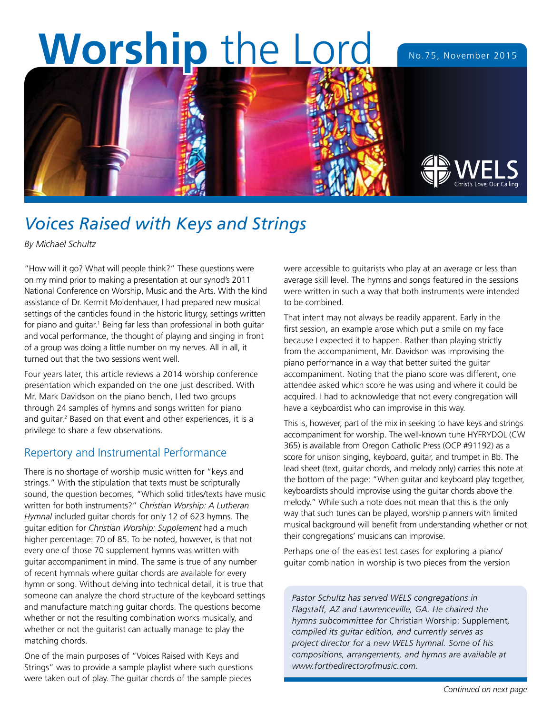# **Worship** the Lord



# *Voices Raised with Keys and Strings*

*By Michael Schultz*

"How will it go? What will people think?" These questions were on my mind prior to making a presentation at our synod's 2011 National Conference on Worship, Music and the Arts. With the kind assistance of Dr. Kermit Moldenhauer, I had prepared new musical settings of the canticles found in the historic liturgy, settings written for piano and guitar.<sup>1</sup> Being far less than professional in both guitar and vocal performance, the thought of playing and singing in front of a group was doing a little number on my nerves. All in all, it turned out that the two sessions went well.

Four years later, this article reviews a 2014 worship conference presentation which expanded on the one just described. With Mr. Mark Davidson on the piano bench, I led two groups through 24 samples of hymns and songs written for piano and guitar.<sup>2</sup> Based on that event and other experiences, it is a privilege to share a few observations.

## Repertory and Instrumental Performance

There is no shortage of worship music written for "keys and strings." With the stipulation that texts must be scripturally sound, the question becomes, "Which solid titles/texts have music written for both instruments?" *Christian Worship: A Lutheran Hymnal* included guitar chords for only 12 of 623 hymns. The guitar edition for *Christian Worship: Supplement* had a much higher percentage: 70 of 85. To be noted, however, is that not every one of those 70 supplement hymns was written with guitar accompaniment in mind. The same is true of any number of recent hymnals where guitar chords are available for every hymn or song. Without delving into technical detail, it is true that someone can analyze the chord structure of the keyboard settings and manufacture matching guitar chords. The questions become whether or not the resulting combination works musically, and whether or not the guitarist can actually manage to play the matching chords.

One of the main purposes of "Voices Raised with Keys and Strings" was to provide a sample playlist where such questions were taken out of play. The guitar chords of the sample pieces

were accessible to guitarists who play at an average or less than average skill level. The hymns and songs featured in the sessions were written in such a way that both instruments were intended to be combined.

That intent may not always be readily apparent. Early in the first session, an example arose which put a smile on my face because I expected it to happen. Rather than playing strictly from the accompaniment, Mr. Davidson was improvising the piano performance in a way that better suited the guitar accompaniment. Noting that the piano score was different, one attendee asked which score he was using and where it could be acquired. I had to acknowledge that not every congregation will have a keyboardist who can improvise in this way.

This is, however, part of the mix in seeking to have keys and strings accompaniment for worship. The well-known tune HYFRYDOL (CW 365) is available from Oregon Catholic Press (OCP #91192) as a score for unison singing, keyboard, guitar, and trumpet in Bb. The lead sheet (text, guitar chords, and melody only) carries this note at the bottom of the page: "When guitar and keyboard play together, keyboardists should improvise using the guitar chords above the melody." While such a note does not mean that this is the only way that such tunes can be played, worship planners with limited musical background will benefit from understanding whether or not their congregations' musicians can improvise.

Perhaps one of the easiest test cases for exploring a piano/ guitar combination in worship is two pieces from the version

*Pastor Schultz has served WELS congregations in Flagstaff, AZ and Lawrenceville, GA. He chaired the hymns subcommittee for* Christian Worship: Supplement*, compiled its guitar edition, and currently serves as project director for a new WELS hymnal. Some of his compositions, arrangements, and hymns are available at www.forthedirectorofmusic.com.*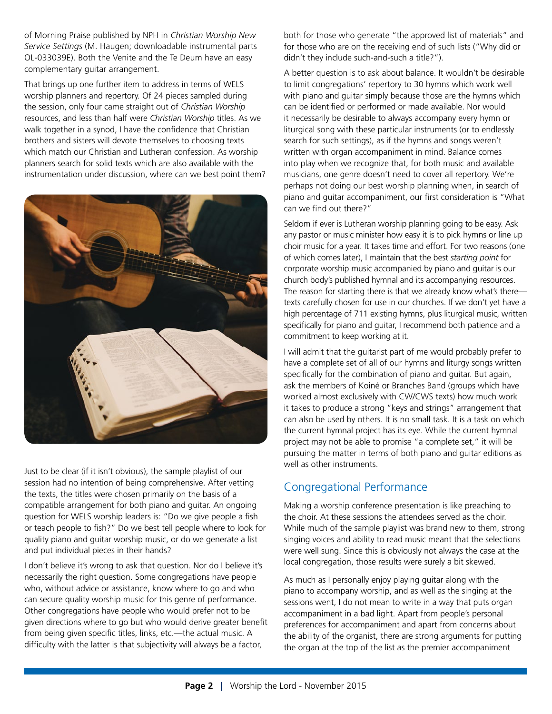of Morning Praise published by NPH in *Christian Worship New Service Settings* (M. Haugen; downloadable instrumental parts OL-033039E). Both the Venite and the Te Deum have an easy complementary guitar arrangement.

That brings up one further item to address in terms of WELS worship planners and repertory. Of 24 pieces sampled during the session, only four came straight out of *Christian Worship* resources, and less than half were *Christian Worship* titles. As we walk together in a synod, I have the confidence that Christian brothers and sisters will devote themselves to choosing texts which match our Christian and Lutheran confession. As worship planners search for solid texts which are also available with the instrumentation under discussion, where can we best point them?



Just to be clear (if it isn't obvious), the sample playlist of our session had no intention of being comprehensive. After vetting the texts, the titles were chosen primarily on the basis of a compatible arrangement for both piano and guitar. An ongoing question for WELS worship leaders is: "Do we give people a fish or teach people to fish?" Do we best tell people where to look for quality piano and guitar worship music, or do we generate a list and put individual pieces in their hands?

I don't believe it's wrong to ask that question. Nor do I believe it's necessarily the right question. Some congregations have people who, without advice or assistance, know where to go and who can secure quality worship music for this genre of performance. Other congregations have people who would prefer not to be given directions where to go but who would derive greater benefit from being given specific titles, links, etc.—the actual music. A difficulty with the latter is that subjectivity will always be a factor,

both for those who generate "the approved list of materials" and for those who are on the receiving end of such lists ("Why did or didn't they include such-and-such a title?").

A better question is to ask about balance. It wouldn't be desirable to limit congregations' repertory to 30 hymns which work well with piano and guitar simply because those are the hymns which can be identified or performed or made available. Nor would it necessarily be desirable to always accompany every hymn or liturgical song with these particular instruments (or to endlessly search for such settings), as if the hymns and songs weren't written with organ accompaniment in mind. Balance comes into play when we recognize that, for both music and available musicians, one genre doesn't need to cover all repertory. We're perhaps not doing our best worship planning when, in search of piano and guitar accompaniment, our first consideration is "What can we find out there?"

Seldom if ever is Lutheran worship planning going to be easy. Ask any pastor or music minister how easy it is to pick hymns or line up choir music for a year. It takes time and effort. For two reasons (one of which comes later), I maintain that the best *starting point* for corporate worship music accompanied by piano and guitar is our church body's published hymnal and its accompanying resources. The reason for starting there is that we already know what's there texts carefully chosen for use in our churches. If we don't yet have a high percentage of 711 existing hymns, plus liturgical music, written specifically for piano and guitar, I recommend both patience and a commitment to keep working at it.

I will admit that the guitarist part of me would probably prefer to have a complete set of all of our hymns and liturgy songs written specifically for the combination of piano and guitar. But again, ask the members of Koiné or Branches Band (groups which have worked almost exclusively with CW/CWS texts) how much work it takes to produce a strong "keys and strings" arrangement that can also be used by others. It is no small task. It is a task on which the current hymnal project has its eye. While the current hymnal project may not be able to promise "a complete set," it will be pursuing the matter in terms of both piano and guitar editions as well as other instruments.

### Congregational Performance

Making a worship conference presentation is like preaching to the choir. At these sessions the attendees served as the choir. While much of the sample playlist was brand new to them, strong singing voices and ability to read music meant that the selections were well sung. Since this is obviously not always the case at the local congregation, those results were surely a bit skewed.

As much as I personally enjoy playing guitar along with the piano to accompany worship, and as well as the singing at the sessions went, I do not mean to write in a way that puts organ accompaniment in a bad light. Apart from people's personal preferences for accompaniment and apart from concerns about the ability of the organist, there are strong arguments for putting the organ at the top of the list as the premier accompaniment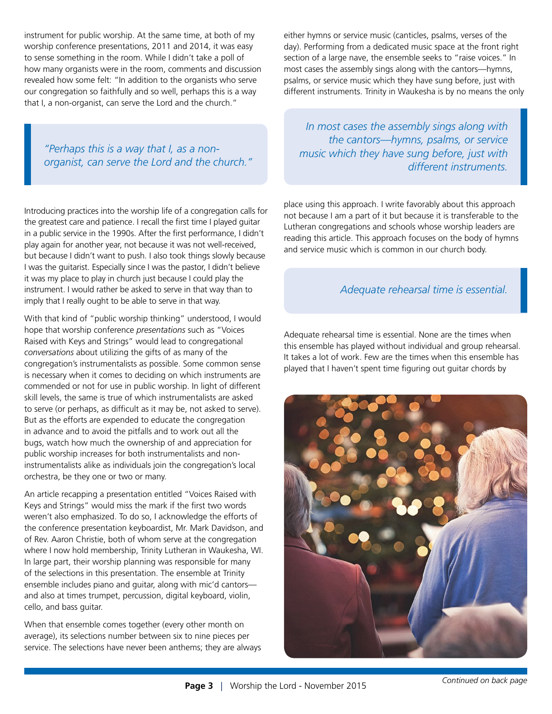instrument for public worship. At the same time, at both of my worship conference presentations, 2011 and 2014, it was easy to sense something in the room. While I didn't take a poll of how many organists were in the room, comments and discussion revealed how some felt: "In addition to the organists who serve our congregation so faithfully and so well, perhaps this is a way that I, a non-organist, can serve the Lord and the church."

*"Perhaps this is a way that I, as a nonorganist, can serve the Lord and the church."*

Introducing practices into the worship life of a congregation calls for the greatest care and patience. I recall the first time I played guitar in a public service in the 1990s. After the first performance, I didn't play again for another year, not because it was not well-received, but because I didn't want to push. I also took things slowly because I was the guitarist. Especially since I was the pastor, I didn't believe it was my place to play in church just because I could play the instrument. I would rather be asked to serve in that way than to imply that I really ought to be able to serve in that way.

With that kind of "public worship thinking" understood, I would hope that worship conference *presentations* such as "Voices Raised with Keys and Strings" would lead to congregational *conversations* about utilizing the gifts of as many of the congregation's instrumentalists as possible. Some common sense is necessary when it comes to deciding on which instruments are commended or not for use in public worship. In light of different skill levels, the same is true of which instrumentalists are asked to serve (or perhaps, as difficult as it may be, not asked to serve). But as the efforts are expended to educate the congregation in advance and to avoid the pitfalls and to work out all the bugs, watch how much the ownership of and appreciation for public worship increases for both instrumentalists and noninstrumentalists alike as individuals join the congregation's local orchestra, be they one or two or many.

An article recapping a presentation entitled "Voices Raised with Keys and Strings" would miss the mark if the first two words weren't also emphasized. To do so, I acknowledge the efforts of the conference presentation keyboardist, Mr. Mark Davidson, and of Rev. Aaron Christie, both of whom serve at the congregation where I now hold membership, Trinity Lutheran in Waukesha, WI. In large part, their worship planning was responsible for many of the selections in this presentation. The ensemble at Trinity ensemble includes piano and guitar, along with mic'd cantors and also at times trumpet, percussion, digital keyboard, violin, cello, and bass guitar.

When that ensemble comes together (every other month on average), its selections number between six to nine pieces per service. The selections have never been anthems; they are always either hymns or service music (canticles, psalms, verses of the day). Performing from a dedicated music space at the front right section of a large nave, the ensemble seeks to "raise voices." In most cases the assembly sings along with the cantors—hymns, psalms, or service music which they have sung before, just with different instruments. Trinity in Waukesha is by no means the only

*In most cases the assembly sings along with the cantors—hymns, psalms, or service music which they have sung before, just with different instruments.*

place using this approach. I write favorably about this approach not because I am a part of it but because it is transferable to the Lutheran congregations and schools whose worship leaders are reading this article. This approach focuses on the body of hymns and service music which is common in our church body.

#### *Adequate rehearsal time is essential.*

Adequate rehearsal time is essential. None are the times when this ensemble has played without individual and group rehearsal. It takes a lot of work. Few are the times when this ensemble has played that I haven't spent time figuring out guitar chords by